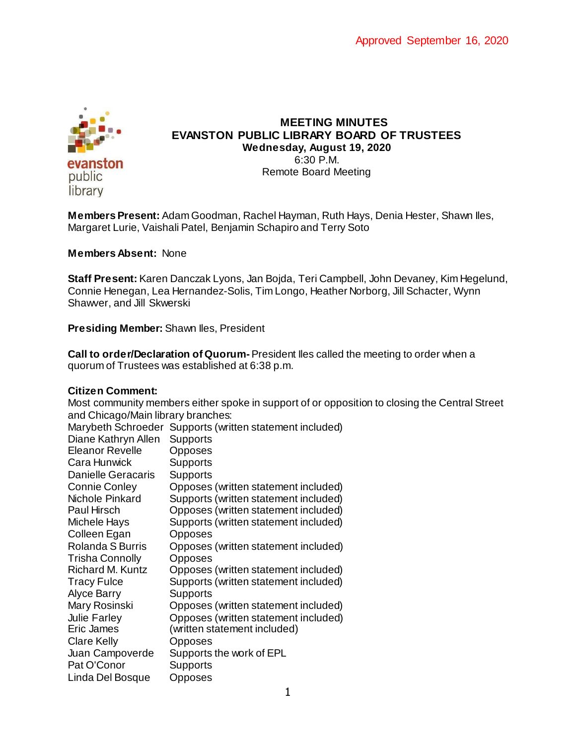

## **MEETING MINUTES EVANSTON PUBLIC LIBRARY BOARD OF TRUSTEES Wednesday, August 19, 2020** 6:30 P.M. Remote Board Meeting

**Members Present:** Adam Goodman, Rachel Hayman, Ruth Hays, Denia Hester, Shawn Iles, Margaret Lurie, Vaishali Patel, Benjamin Schapiro and Terry Soto

#### **Members Absent:** None

**Staff Present:** Karen Danczak Lyons, Jan Bojda, Teri Campbell, John Devaney, Kim Hegelund, Connie Henegan, Lea Hernandez-Solis, Tim Longo, Heather Norborg, Jill Schacter, Wynn Shawver, and Jill Skwerski

**Presiding Member:** Shawn Iles, President

**Call to order/Declaration of Quorum-** President Iles called the meeting to order when a quorum of Trustees was established at 6:38 p.m.

## **Citizen Comment:**

|                                    | Most community members either spoke in support of or opposition to closing the Central Street |                                                          |
|------------------------------------|-----------------------------------------------------------------------------------------------|----------------------------------------------------------|
| and Chicago/Main library branches: |                                                                                               |                                                          |
|                                    |                                                                                               | Marybeth Schroeder Supports (written statement included) |
|                                    | Diane Kathryn Allen                                                                           | <b>Supports</b>                                          |
|                                    | <b>Eleanor Revelle</b>                                                                        | <b>Opposes</b>                                           |
|                                    | Cara Hunwick                                                                                  | <b>Supports</b>                                          |
|                                    | <b>Danielle Geracaris</b>                                                                     | <b>Supports</b>                                          |
|                                    | <b>Connie Conley</b>                                                                          | Opposes (written statement included)                     |
|                                    | Nichole Pinkard                                                                               | Supports (written statement included)                    |
|                                    | Paul Hirsch                                                                                   | Opposes (written statement included)                     |
|                                    | Michele Hays                                                                                  | Supports (written statement included)                    |
|                                    | Colleen Egan                                                                                  | <b>Opposes</b>                                           |
|                                    | Rolanda S Burris                                                                              | Opposes (written statement included)                     |
|                                    | <b>Trisha Connolly</b>                                                                        | <b>Opposes</b>                                           |
|                                    | Richard M. Kuntz                                                                              | Opposes (written statement included)                     |
|                                    | <b>Tracy Fulce</b>                                                                            | Supports (written statement included)                    |
|                                    | Alyce Barry                                                                                   | <b>Supports</b>                                          |
|                                    | Mary Rosinski                                                                                 | Opposes (written statement included)                     |
|                                    | Julie Farley                                                                                  | Opposes (written statement included)                     |
|                                    | Eric James                                                                                    | (written statement included)                             |
|                                    | <b>Clare Kelly</b>                                                                            | <b>Opposes</b>                                           |
|                                    | Juan Campoverde                                                                               | Supports the work of EPL                                 |
|                                    | Pat O'Conor                                                                                   | <b>Supports</b>                                          |
|                                    | Linda Del Bosque                                                                              | Opposes                                                  |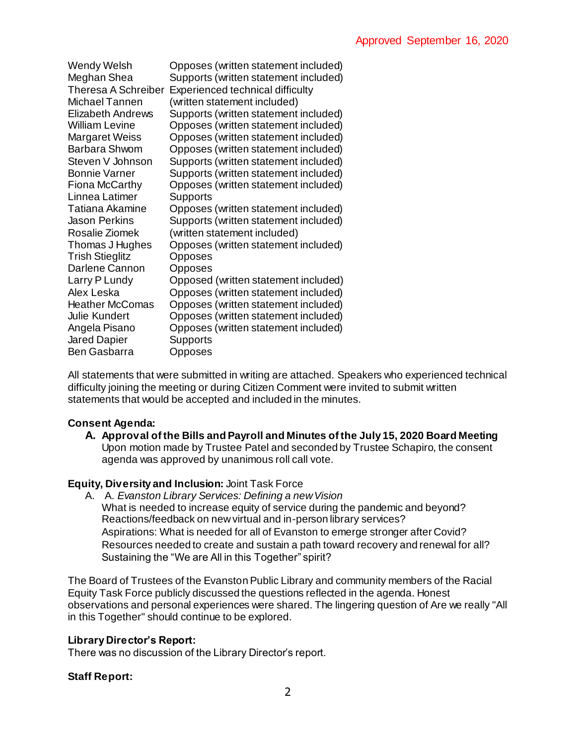| Wendy Welsh                | Opposes (written statement included)  |
|----------------------------|---------------------------------------|
| Meghan Shea                | Supports (written statement included) |
| <b>Theresa A Schreiber</b> | Experienced technical difficulty      |
| Michael Tannen             | (written statement included)          |
| <b>Elizabeth Andrews</b>   | Supports (written statement included) |
| <b>William Levine</b>      | Opposes (written statement included)  |
| <b>Margaret Weiss</b>      | Opposes (written statement included)  |
| <b>Barbara Shwom</b>       | Opposes (written statement included)  |
| Steven V Johnson           | Supports (written statement included) |
| <b>Bonnie Varner</b>       | Supports (written statement included) |
| <b>Fiona McCarthy</b>      | Opposes (written statement included)  |
| Linnea Latimer             | Supports                              |
| <b>Tatiana Akamine</b>     | Opposes (written statement included)  |
| <b>Jason Perkins</b>       | Supports (written statement included) |
| Rosalie Ziomek             | (written statement included)          |
| Thomas J Hughes            | Opposes (written statement included)  |
| <b>Trish Stieglitz</b>     | Opposes                               |
| Darlene Cannon             | Opposes                               |
| Larry P Lundy              | Opposed (written statement included)  |
| Alex Leska                 | Opposes (written statement included)  |
| <b>Heather McComas</b>     | Opposes (written statement included)  |
| Julie Kundert              | Opposes (written statement included)  |
| Angela Pisano              | Opposes (written statement included)  |
| <b>Jared Dapier</b>        | Supports                              |
| Ben Gasbarra               | Opposes                               |

All statements that were submitted in writing are attached. Speakers who experienced technical difficulty joining the meeting or during Citizen Comment were invited to submit written statements that would be accepted and included in the minutes.

# **Consent Agenda:**

**A. Approval of the Bills and Payroll and Minutes of the July 15, 2020 Board Meeting** Upon motion made by Trustee Patel and seconded by Trustee Schapiro, the consent agenda was approved by unanimous roll call vote.

## **Equity, Diversity and Inclusion:** Joint Task Force

A. A. *Evanston Library Services: Defining a new Vision*  What is needed to increase equity of service during the pandemic and beyond? Reactions/feedback on new virtual and in-person library services? Aspirations: What is needed for all of Evanston to emerge stronger after Covid? Resources needed to create and sustain a path toward recovery and renewal for all? Sustaining the "We are All in this Together" spirit?

The Board of Trustees of the Evanston Public Library and community members of the Racial Equity Task Force publicly discussed the questions reflected in the agenda. Honest observations and personal experiences were shared. The lingering question of Are we really "All in this Together" should continue to be explored.

## **Library Director's Report:**

There was no discussion of the Library Director's report.

## **Staff Report:**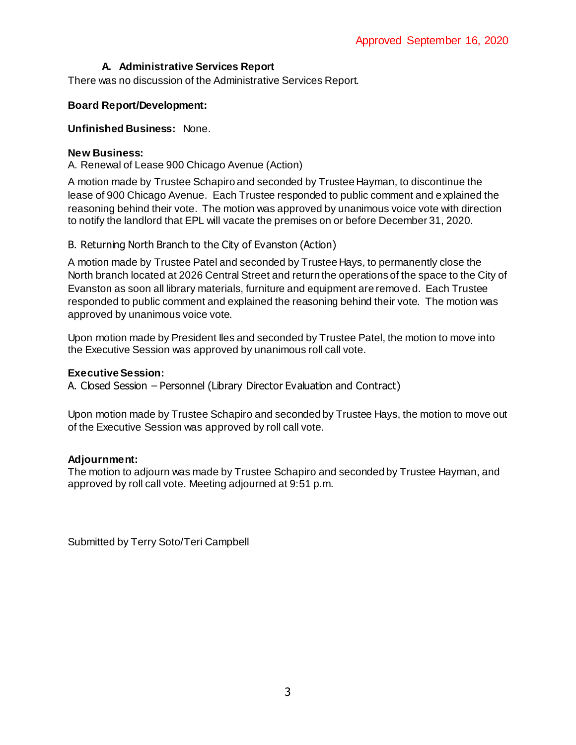# **A. Administrative Services Report**

There was no discussion of the Administrative Services Report.

## **Board Report/Development:**

### **Unfinished Business:** None.

### **New Business:**

A. Renewal of Lease 900 Chicago Avenue (Action)

A motion made by Trustee Schapiro and seconded by Trustee Hayman, to discontinue the lease of 900 Chicago Avenue. Each Trustee responded to public comment and explained the reasoning behind their vote. The motion was approved by unanimous voice vote with direction to notify the landlord that EPL will vacate the premises on or before December 31, 2020.

## B. Returning North Branch to the City of Evanston (Action)

A motion made by Trustee Patel and seconded by Trustee Hays, to permanently close the North branch located at 2026 Central Street and return the operations of the space to the City of Evanston as soon all library materials, furniture and equipment are removed. Each Trustee responded to public comment and explained the reasoning behind their vote. The motion was approved by unanimous voice vote.

Upon motion made by President Iles and seconded by Trustee Patel, the motion to move into the Executive Session was approved by unanimous roll call vote.

#### **Executive Session:**

A. Closed Session – Personnel (Library Director Evaluation and Contract)

Upon motion made by Trustee Schapiro and seconded by Trustee Hays, the motion to move out of the Executive Session was approved by roll call vote.

## **Adjournment:**

The motion to adjourn was made by Trustee Schapiro and seconded by Trustee Hayman, and approved by roll call vote. Meeting adjourned at 9:51 p.m.

Submitted by Terry Soto/Teri Campbell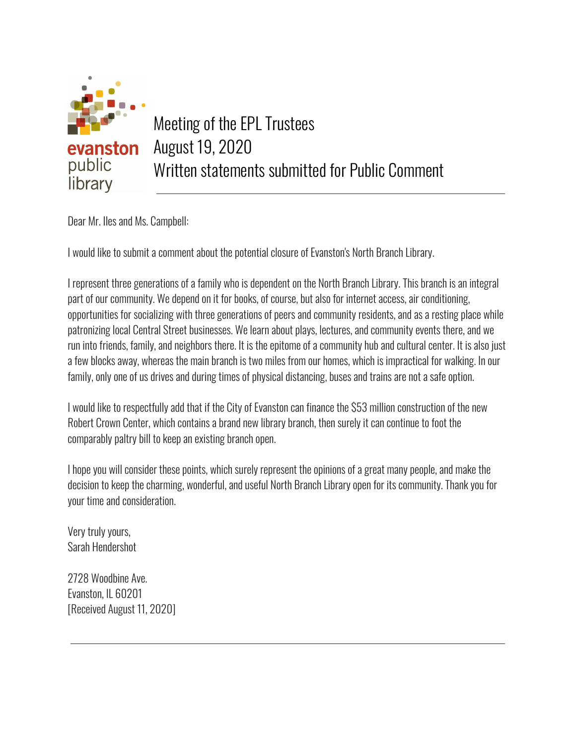

Dear Mr. Iles and Ms. Campbell:

I would like to submit a comment about the potential closure of Evanston's North Branch Library.

I represent three generations of a family who is dependent on the North Branch Library. This branch is an integral part of our community. We depend on it for books, of course, but also for internet access, air conditioning, opportunities for socializing with three generations of peers and community residents, and as a resting place while patronizing local Central Street businesses. We learn about plays, lectures, and community events there, and we run into friends, family, and neighbors there. It is the epitome of a community hub and cultural center. It is also just a few blocks away, whereas the main branch is two miles from our homes, which is impractical for walking. In our family, only one of us drives and during times of physical distancing, buses and trains are not a safe option.

I would like to respectfully add that if the City of Evanston can finance the \$53 million construction of the new Robert Crown Center, which contains a brand new library branch, then surely it can continue to foot the comparably paltry bill to keep an existing branch open.

I hope you will consider these points, which surely represent the opinions of a great many people, and make the decision to keep the charming, wonderful, and useful North Branch Library open for its community. Thank you for your time and consideration.

Very truly yours, Sarah Hendershot

2728 Woodbine Ave. Evanston, IL 60201 [Received August 11, 2020]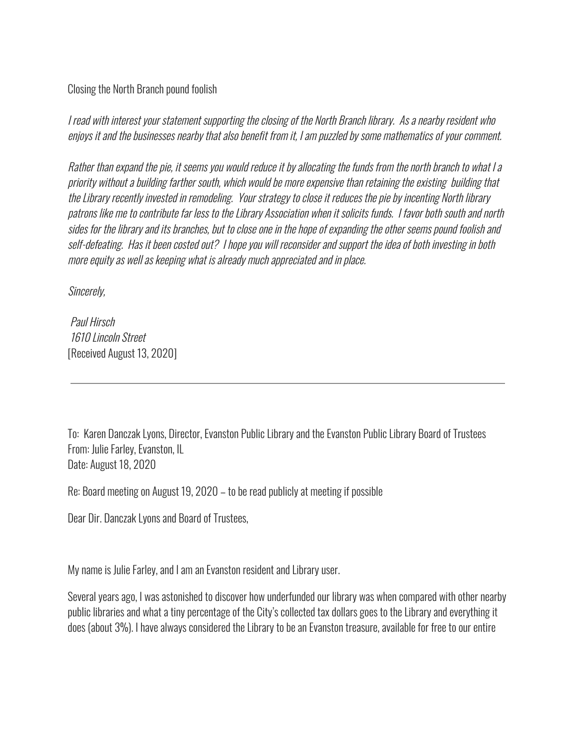Closing the North Branch pound foolish

I read with interest your statement supporting the closing of the North Branch library. As a nearby resident who enjoys it and the businesses nearby that also benefit from it, I am puzzled by some mathematics of your comment.

Rather than expand the pie, it seems you would reduce it by allocating the funds from the north branch to what I a priority without a building farther south, which would be more expensive than retaining the existing building that the Library recently invested in remodeling. Your strategy to close it reduces the pie by incenting North library patrons like me to contribute far less to the Library Association when it solicits funds. I favor both south and north sides for the library and its branches, but to close one in the hope of expanding the other seems pound foolish and self-defeating. Has it been costed out? I hope you will reconsider and support the idea of both investing in both more equity as well as keeping what is already much appreciated and in place.

Sincerely,

Paul Hirsch 1610 Lincoln Street [Received August 13, 2020]

To: Karen Danczak Lyons, Director, Evanston Public Library and the Evanston Public Library Board of Trustees From: Julie Farley, Evanston, IL Date: August 18, 2020

Re: Board meeting on August 19, 2020 – to be read publicly at meeting if possible

Dear Dir. Danczak Lyons and Board of Trustees,

My name is Julie Farley, and I am an Evanston resident and Library user.

Several years ago, I was astonished to discover how underfunded our library was when compared with other nearby public libraries and what a tiny percentage of the City's collected tax dollars goes to the Library and everything it does (about 3%). I have always considered the Library to be an Evanston treasure, available for free to our entire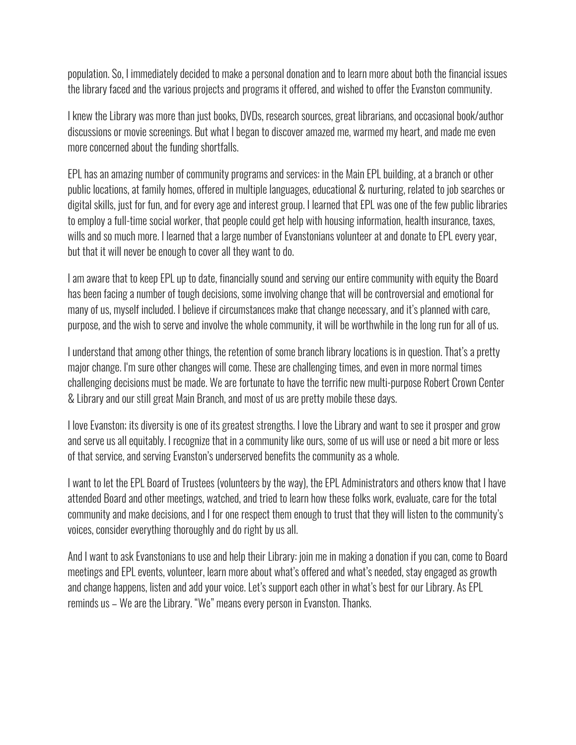population. So, I immediately decided to make a personal donation and to learn more about both the financial issues the library faced and the various projects and programs it offered, and wished to offer the Evanston community.

I knew the Library was more than just books, DVDs, research sources, great librarians, and occasional book/author discussions or movie screenings. But what I began to discover amazed me, warmed my heart, and made me even more concerned about the funding shortfalls.

EPL has an amazing number of community programs and services: in the Main EPL building, at a branch or other public locations, at family homes, offered in multiple languages, educational & nurturing, related to job searches or digital skills, just for fun, and for every age and interest group. I learned that EPL was one of the few public libraries to employ a full-time social worker, that people could get help with housing information, health insurance, taxes, wills and so much more. I learned that a large number of Evanstonians volunteer at and donate to EPL every year, but that it will never be enough to cover all they want to do.

I am aware that to keep EPL up to date, financially sound and serving our entire community with equity the Board has been facing a number of tough decisions, some involving change that will be controversial and emotional for many of us, myself included. I believe if circumstances make that change necessary, and it's planned with care, purpose, and the wish to serve and involve the whole community, it will be worthwhile in the long run for all of us.

I understand that among other things, the retention of some branch library locations is in question. That's a pretty major change. I'm sure other changes will come. These are challenging times, and even in more normal times challenging decisions must be made. We are fortunate to have the terrific new multi-purpose Robert Crown Center & Library and our still great Main Branch, and most of us are pretty mobile these days.

I love Evanston; its diversity is one of its greatest strengths. I love the Library and want to see it prosper and grow and serve us all equitably. I recognize that in a community like ours, some of us will use or need a bit more or less of that service, and serving Evanston's underserved benefits the community as a whole.

I want to let the EPL Board of Trustees (volunteers by the way), the EPL Administrators and others know that I have attended Board and other meetings, watched, and tried to learn how these folks work, evaluate, care for the total community and make decisions, and I for one respect them enough to trust that they will listen to the community's voices, consider everything thoroughly and do right by us all.

And I want to ask Evanstonians to use and help their Library: join me in making a donation if you can, come to Board meetings and EPL events, volunteer, learn more about what's offered and what's needed, stay engaged as growth and change happens, listen and add your voice. Let's support each other in what's best for our Library. As EPL reminds us – We are the Library. "We" means every person in Evanston. Thanks.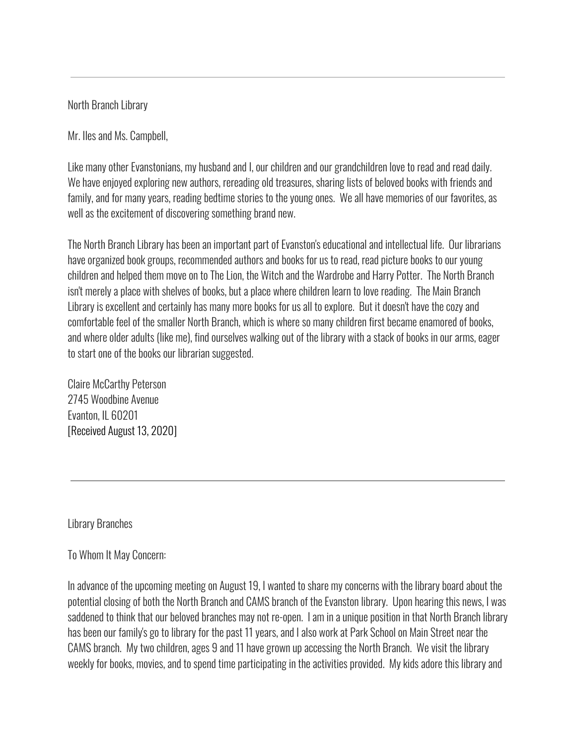North Branch Library

Mr. Iles and Ms. Campbell,

Like many other Evanstonians, my husband and I, our children and our grandchildren love to read and read daily. We have enjoyed exploring new authors, rereading old treasures, sharing lists of beloved books with friends and family, and for many years, reading bedtime stories to the young ones. We all have memories of our favorites, as well as the excitement of discovering something brand new.

The North Branch Library has been an important part of Evanston's educational and intellectual life. Our librarians have organized book groups, recommended authors and books for us to read, read picture books to our young children and helped them move on to The Lion, the Witch and the Wardrobe and Harry Potter. The North Branch isn't merely a place with shelves of books, but a place where children learn to love reading. The Main Branch Library is excellent and certainly has many more books for us all to explore. But it doesn't have the cozy and comfortable feel of the smaller North Branch, which is where so many children first became enamored of books, and where older adults (like me), find ourselves walking out of the library with a stack of books in our arms, eager to start one of the books our librarian suggested.

Claire McCarthy Peterson 2745 Woodbine Avenue Evanton, IL 60201 [Received August 13, 2020]

Library Branches

# To Whom It May Concern:

In advance of the upcoming meeting on August 19, I wanted to share my concerns with the library board about the potential closing of both the North Branch and CAMS branch of the Evanston library. Upon hearing this news, I was saddened to think that our beloved branches may not re-open. I am in a unique position in that North Branch library has been our family's go to library for the past 11 years, and I also work at Park School on Main Street near the CAMS branch. My two children, ages 9 and 11 have grown up accessing the North Branch. We visit the library weekly for books, movies, and to spend time participating in the activities provided. My kids adore this library and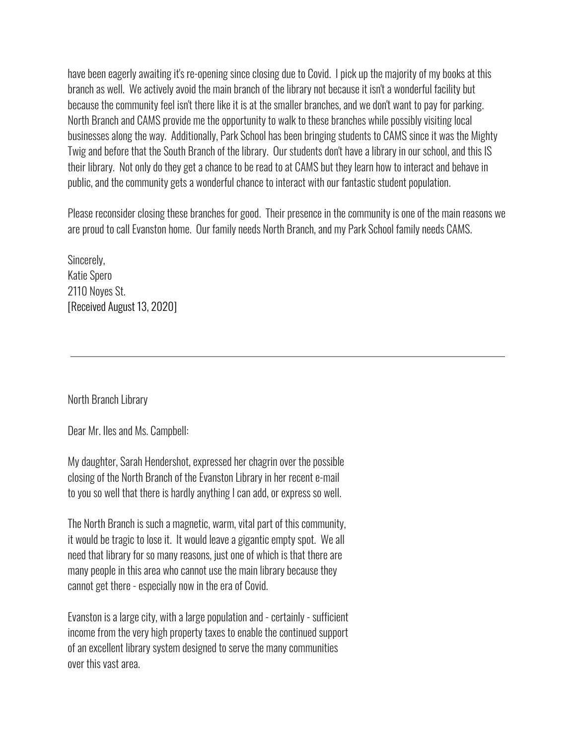have been eagerly awaiting it's re-opening since closing due to Covid. I pick up the majority of my books at this branch as well. We actively avoid the main branch of the library not because it isn't a wonderful facility but because the community feel isn't there like it is at the smaller branches, and we don't want to pay for parking. North Branch and CAMS provide me the opportunity to walk to these branches while possibly visiting local businesses along the way. Additionally, Park School has been bringing students to CAMS since it was the Mighty Twig and before that the South Branch of the library. Our students don't have a library in our school, and this IS their library. Not only do they get a chance to be read to at CAMS but they learn how to interact and behave in public, and the community gets a wonderful chance to interact with our fantastic student population.

Please reconsider closing these branches for good. Their presence in the community is one of the main reasons we are proud to call Evanston home. Our family needs North Branch, and my Park School family needs CAMS.

Sincerely, Katie Spero 2110 Noyes St. [Received August 13, 2020]

North Branch Library

Dear Mr. Iles and Ms. Campbell:

My daughter, Sarah Hendershot, expressed her chagrin over the possible closing of the North Branch of the Evanston Library in her recent e-mail to you so well that there is hardly anything I can add, or express so well.

The North Branch is such a magnetic, warm, vital part of this community, it would be tragic to lose it. It would leave a gigantic empty spot. We all need that library for so many reasons, just one of which is that there are many people in this area who cannot use the main library because they cannot get there - especially now in the era of Covid.

Evanston is a large city, with a large population and - certainly - sufficient income from the very high property taxes to enable the continued support of an excellent library system designed to serve the many communities over this vast area.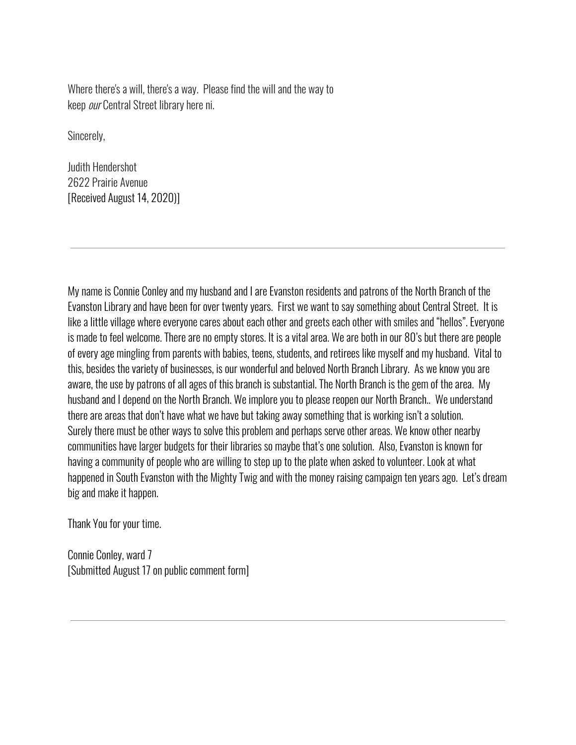Where there's a will, there's a way. Please find the will and the way to keep our Central Street library here ni.

Sincerely,

Judith Hendershot 2622 Prairie Avenue [Received August 14, 2020)]

My name is Connie Conley and my husband and I are Evanston residents and patrons of the North Branch of the Evanston Library and have been for over twenty years. First we want to say something about Central Street. It is like a little village where everyone cares about each other and greets each other with smiles and "hellos". Everyone is made to feel welcome. There are no empty stores. It is a vital area. We are both in our 80's but there are people of every age mingling from parents with babies, teens, students, and retirees like myself and my husband. Vital to this, besides the variety of businesses, is our wonderful and beloved North Branch Library. As we know you are aware, the use by patrons of all ages of this branch is substantial. The North Branch is the gem of the area. My husband and I depend on the North Branch. We implore you to please reopen our North Branch.. We understand there are areas that don't have what we have but taking away something that is working isn't a solution. Surely there must be other ways to solve this problem and perhaps serve other areas. We know other nearby communities have larger budgets for their libraries so maybe that's one solution. Also, Evanston is known for having a community of people who are willing to step up to the plate when asked to volunteer. Look at what happened in South Evanston with the Mighty Twig and with the money raising campaign ten years ago. Let's dream big and make it happen.

Thank You for your time.

Connie Conley, ward 7 [Submitted August 17 on public comment form]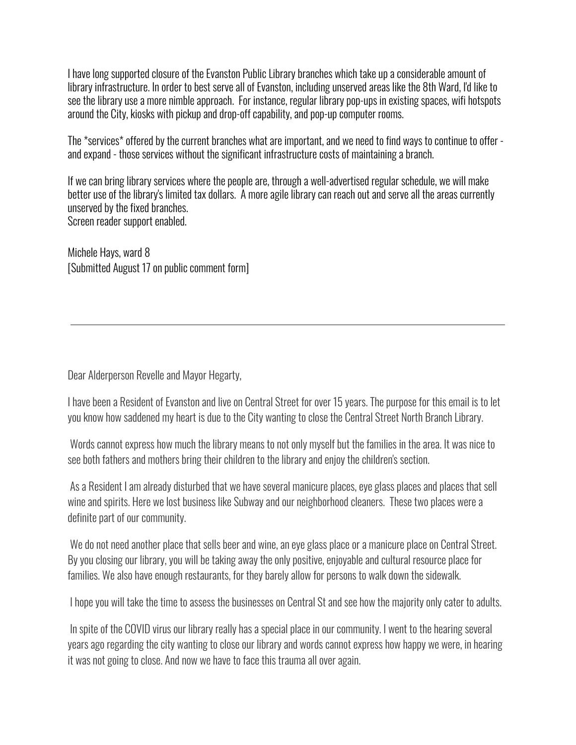I have long supported closure of the Evanston Public Library branches which take up a considerable amount of library infrastructure. In order to best serve all of Evanston, including unserved areas like the 8th Ward, I'd like to see the library use a more nimble approach. For instance, regular library pop-ups in existing spaces, wifi hotspots around the City, kiosks with pickup and drop-off capability, and pop-up computer rooms.

The \*services\* offered by the current branches what are important, and we need to find ways to continue to offer and expand - those services without the significant infrastructure costs of maintaining a branch.

If we can bring library services where the people are, through a well-advertised regular schedule, we will make better use of the library's limited tax dollars. A more agile library can reach out and serve all the areas currently unserved by the fixed branches. Screen reader support enabled.

Michele Hays, ward 8 [Submitted August 17 on public comment form]

Dear Alderperson Revelle and Mayor Hegarty,

I have been a Resident of Evanston and live on Central Street for over 15 years. The purpose for this email is to let you know how saddened my heart is due to the City wanting to close the Central Street North Branch Library.

Words cannot express how much the library means to not only myself but the families in the area. It was nice to see both fathers and mothers bring their children to the library and enjoy the children's section.

As a Resident I am already disturbed that we have several manicure places, eye glass places and places that sell wine and spirits. Here we lost business like Subway and our neighborhood cleaners. These two places were a definite part of our community.

We do not need another place that sells beer and wine, an eye glass place or a manicure place on Central Street. By you closing our library, you will be taking away the only positive, enjoyable and cultural resource place for families. We also have enough restaurants, for they barely allow for persons to walk down the sidewalk.

I hope you will take the time to assess the businesses on Central St and see how the majority only cater to adults.

In spite of the COVID virus our library really has a special place in our community. I went to the hearing several years ago regarding the city wanting to close our library and words cannot express how happy we were, in hearing it was not going to close. And now we have to face this trauma all over again.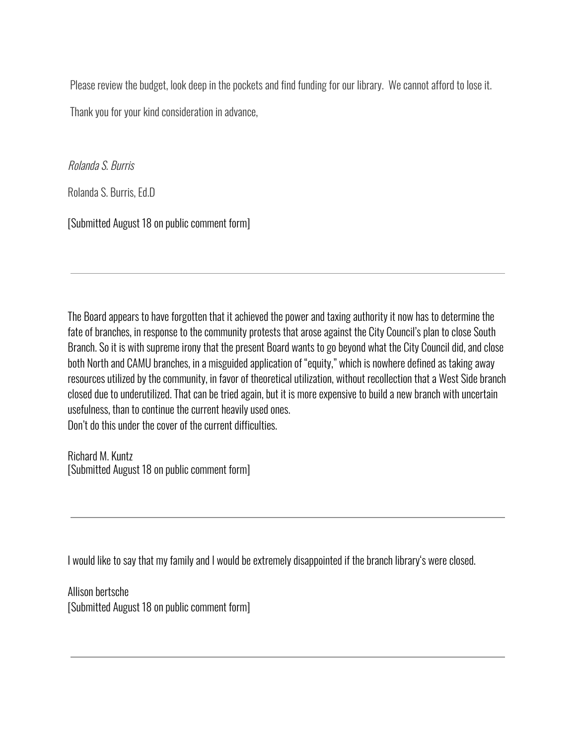Please review the budget, look deep in the pockets and find funding for our library. We cannot afford to lose it. Thank you for your kind consideration in advance,

Rolanda S. Burris

Rolanda S. Burris, Ed.D

[Submitted August 18 on public comment form]

The Board appears to have forgotten that it achieved the power and taxing authority it now has to determine the fate of branches, in response to the community protests that arose against the City Council's plan to close South Branch. So it is with supreme irony that the present Board wants to go beyond what the City Council did, and close both North and CAMU branches, in a misguided application of "equity," which is nowhere defined as taking away resources utilized by the community, in favor of theoretical utilization, without recollection that a West Side branch closed due to underutilized. That can be tried again, but it is more expensive to build a new branch with uncertain usefulness, than to continue the current heavily used ones. Don't do this under the cover of the current difficulties.

Richard M. Kuntz [Submitted August 18 on public comment form]

I would like to say that my family and I would be extremely disappointed if the branch library's were closed.

Allison bertsche [Submitted August 18 on public comment form]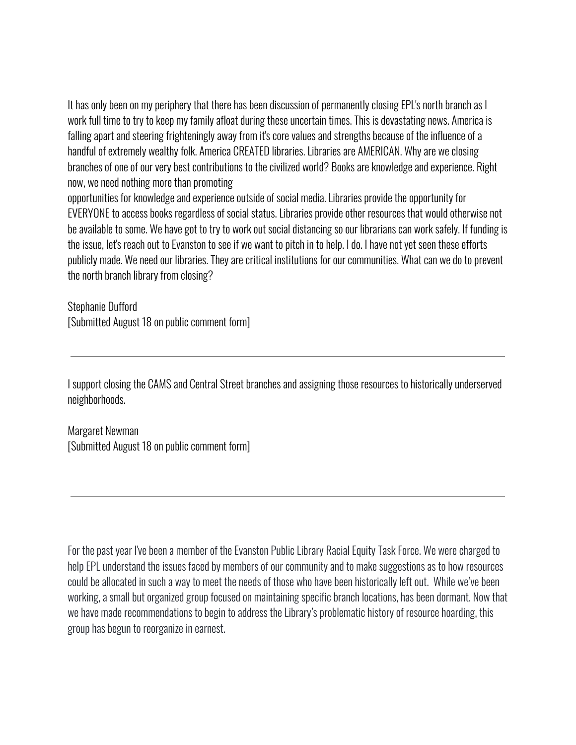It has only been on my periphery that there has been discussion of permanently closing EPL's north branch as I work full time to try to keep my family afloat during these uncertain times. This is devastating news. America is falling apart and steering frighteningly away from it's core values and strengths because of the influence of a handful of extremely wealthy folk. America CREATED libraries. Libraries are AMERICAN. Why are we closing branches of one of our very best contributions to the civilized world? Books are knowledge and experience. Right now, we need nothing more than promoting

opportunities for knowledge and experience outside of social media. Libraries provide the opportunity for EVERYONE to access books regardless of social status. Libraries provide other resources that would otherwise not be available to some. We have got to try to work out social distancing so our librarians can work safely. If funding is the issue, let's reach out to Evanston to see if we want to pitch in to help. I do. I have not yet seen these efforts publicly made. We need our libraries. They are critical institutions for our communities. What can we do to prevent the north branch library from closing?

Stephanie Dufford [Submitted August 18 on public comment form]

I support closing the CAMS and Central Street branches and assigning those resources to historically underserved neighborhoods.

Margaret Newman [Submitted August 18 on public comment form]

For the past year I've been a member of the Evanston Public Library Racial Equity Task Force. We were charged to help EPL understand the issues faced by members of our community and to make suggestions as to how resources could be allocated in such a way to meet the needs of those who have been historically left out. While we've been working, a small but organized group focused on maintaining specific branch locations, has been dormant. Now that we have made recommendations to begin to address the Library's problematic history of resource hoarding, this group has begun to reorganize in earnest.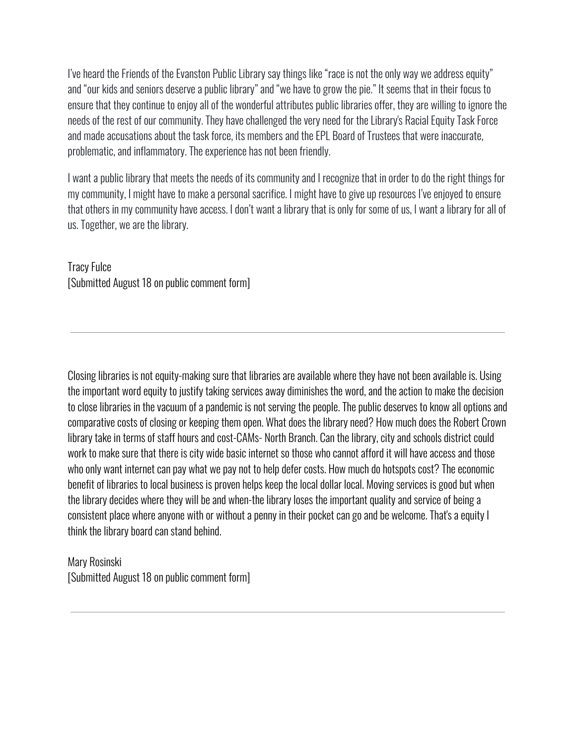I've heard the Friends of the Evanston Public Library say things like "race is not the only way we address equity" and "our kids and seniors deserve a public library" and "we have to grow the pie." It seems that in their focus to ensure that they continue to enjoy all of the wonderful attributes public libraries offer, they are willing to ignore the needs of the rest of our community. They have challenged the very need for the Library's Racial Equity Task Force and made accusations about the task force, its members and the EPL Board of Trustees that were inaccurate, problematic, and inflammatory. The experience has not been friendly.

I want a public library that meets the needs of its community and I recognize that in order to do the right things for my community, I might have to make a personal sacrifice. I might have to give up resources I've enjoyed to ensure that others in my community have access. I don't want a library that is only for some of us, I want a library for all of us. Together, we are the library.

Tracy Fulce [Submitted August 18 on public comment form]

Closing libraries is not equity-making sure that libraries are available where they have not been available is. Using the important word equity to justify taking services away diminishes the word, and the action to make the decision to close libraries in the vacuum of a pandemic is not serving the people. The public deserves to know all options and comparative costs of closing or keeping them open. What does the library need? How much does the Robert Crown library take in terms of staff hours and cost-CAMs- North Branch. Can the library, city and schools district could work to make sure that there is city wide basic internet so those who cannot afford it will have access and those who only want internet can pay what we pay not to help defer costs. How much do hotspots cost? The economic benefit of libraries to local business is proven helps keep the local dollar local. Moving services is good but when the library decides where they will be and when-the library loses the important quality and service of being a consistent place where anyone with or without a penny in their pocket can go and be welcome. That's a equity I think the library board can stand behind.

Mary Rosinski [Submitted August 18 on public comment form]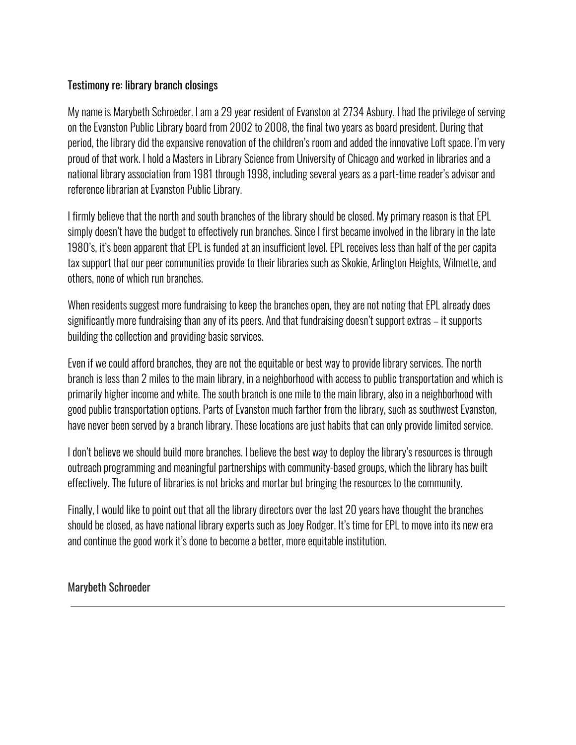# Testimony re: library branch closings

My name is Marybeth Schroeder. I am a 29 year resident of Evanston at 2734 Asbury. I had the privilege of serving on the Evanston Public Library board from 2002 to 2008, the final two years as board president. During that period, the library did the expansive renovation of the children's room and added the innovative Loft space. I'm very proud of that work. I hold a Masters in Library Science from University of Chicago and worked in libraries and a national library association from 1981 through 1998, including several years as a part-time reader's advisor and reference librarian at Evanston Public Library.

I firmly believe that the north and south branches of the library should be closed. My primary reason is that EPL simply doesn't have the budget to effectively run branches. Since I first became involved in the library in the late 1980's, it's been apparent that EPL is funded at an insufficient level. EPL receives less than half of the per capita tax support that our peer communities provide to their libraries such as Skokie, Arlington Heights, Wilmette, and others, none of which run branches.

When residents suggest more fundraising to keep the branches open, they are not noting that EPL already does significantly more fundraising than any of its peers. And that fundraising doesn't support extras – it supports building the collection and providing basic services.

Even if we could afford branches, they are not the equitable or best way to provide library services. The north branch is less than 2 miles to the main library, in a neighborhood with access to public transportation and which is primarily higher income and white. The south branch is one mile to the main library, also in a neighborhood with good public transportation options. Parts of Evanston much farther from the library, such as southwest Evanston, have never been served by a branch library. These locations are just habits that can only provide limited service.

I don't believe we should build more branches. I believe the best way to deploy the library's resources is through outreach programming and meaningful partnerships with community-based groups, which the library has built effectively. The future of libraries is not bricks and mortar but bringing the resources to the community.

Finally, I would like to point out that all the library directors over the last 20 years have thought the branches should be closed, as have national library experts such as Joey Rodger. It's time for EPL to move into its new era and continue the good work it's done to become a better, more equitable institution.

Marybeth Schroeder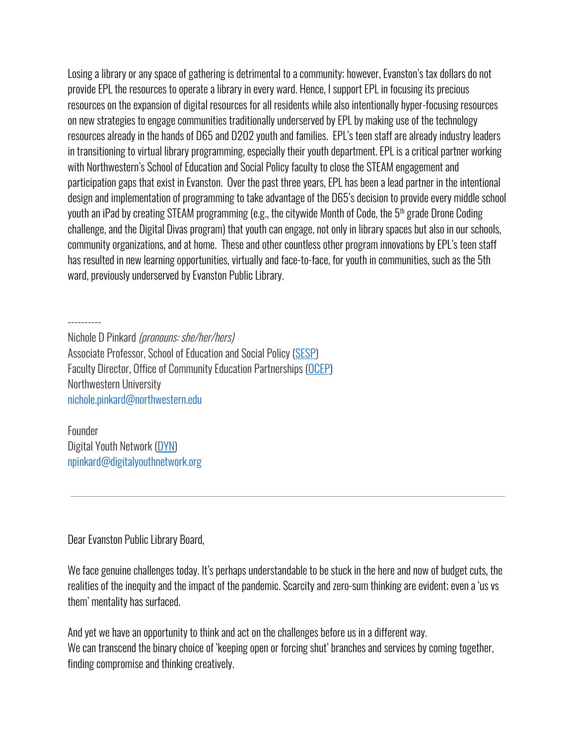Losing a library or any space of gathering is detrimental to a community; however, Evanston's tax dollars do not provide EPL the resources to operate a library in every ward. Hence, I support EPL in focusing its precious resources on the expansion of digital resources for all residents while also intentionally hyper-focusing resources on new strategies to engage communities traditionally underserved by EPL by making use of the technology resources already in the hands of D65 and D202 youth and families. EPL's teen staff are already industry leaders in transitioning to virtual library programming, especially their youth department. EPL is a critical partner working with Northwestern's School of Education and Social Policy faculty to close the STEAM engagement and participation gaps that exist in Evanston. Over the past three years, EPL has been a lead partner in the intentional design and implementation of programming to take advantage of the D65's decision to provide every middle school youth an iPad by creating STEAM programming (e.g., the citywide Month of Code, the 5 th grade Drone Coding challenge, and the Digital Divas program) that youth can engage, not only in library spaces but also in our schools, community organizations, and at home. These and other countless other program innovations by EPL's teen staff has resulted in new learning opportunities, virtually and face-to-face, for youth in communities, such as the 5th ward, previously underserved by Evanston Public Library.

----------

Nichole D Pinkard (pronouns: she/her/hers) Associate Professor, School of Education and Social Policy [\(SESP\)](http://sesp.northwestern.edu/) Faculty Director, Office of Community Education Partnerships ([OCEP\)](http://osep.northwestern.edu/) Northwestern University nichole.pinkard@northwestern.edu

Founder Digital Youth Network [\(DYN\)](http://digitalyouthnetwork.org/) npinkard@digitalyouthnetwork.org

Dear Evanston Public Library Board,

We face genuine challenges today. It's perhaps understandable to be stuck in the here and now of budget cuts, the realities of the inequity and the impact of the pandemic. Scarcity and zero-sum thinking are evident; even a 'us vs them' mentality has surfaced.

And yet we have an opportunity to think and act on the challenges before us in a different way. We can transcend the binary choice of 'keeping open or forcing shut' branches and services by coming together, finding compromise and thinking creatively.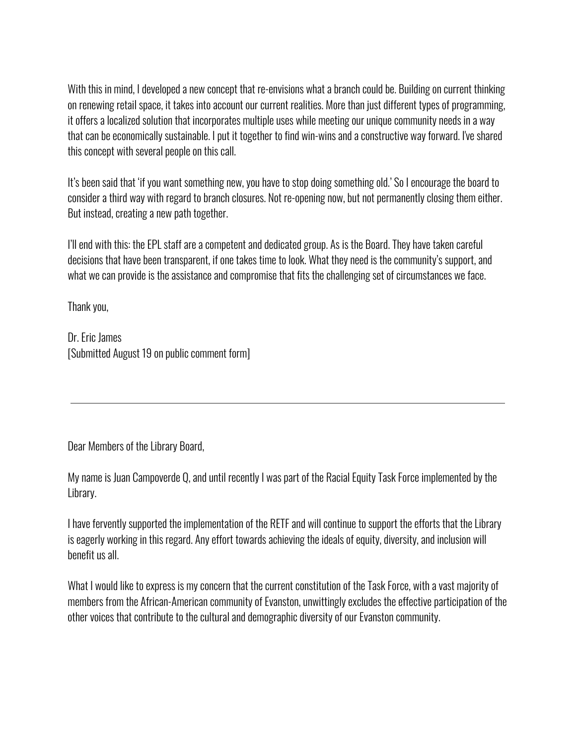With this in mind, I developed a new concept that re-envisions what a branch could be. Building on current thinking on renewing retail space, it takes into account our current realities. More than just different types of programming, it offers a localized solution that incorporates multiple uses while meeting our unique community needs in a way that can be economically sustainable. I put it together to find win-wins and a constructive way forward. I've shared this concept with several people on this call.

It's been said that 'if you want something new, you have to stop doing something old.' So I encourage the board to consider a third way with regard to branch closures. Not re-opening now, but not permanently closing them either. But instead, creating a new path together.

I'll end with this: the EPL staff are a competent and dedicated group. As is the Board. They have taken careful decisions that have been transparent, if one takes time to look. What they need is the community's support, and what we can provide is the assistance and compromise that fits the challenging set of circumstances we face.

Thank you,

Dr. Eric James [Submitted August 19 on public comment form]

Dear Members of the Library Board,

My name is Juan Campoverde Q, and until recently I was part of the Racial Equity Task Force implemented by the Library.

I have fervently supported the implementation of the RETF and will continue to support the efforts that the Library is eagerly working in this regard. Any effort towards achieving the ideals of equity, diversity, and inclusion will benefit us all.

What I would like to express is my concern that the current constitution of the Task Force, with a vast majority of members from the African-American community of Evanston, unwittingly excludes the effective participation of the other voices that contribute to the cultural and demographic diversity of our Evanston community.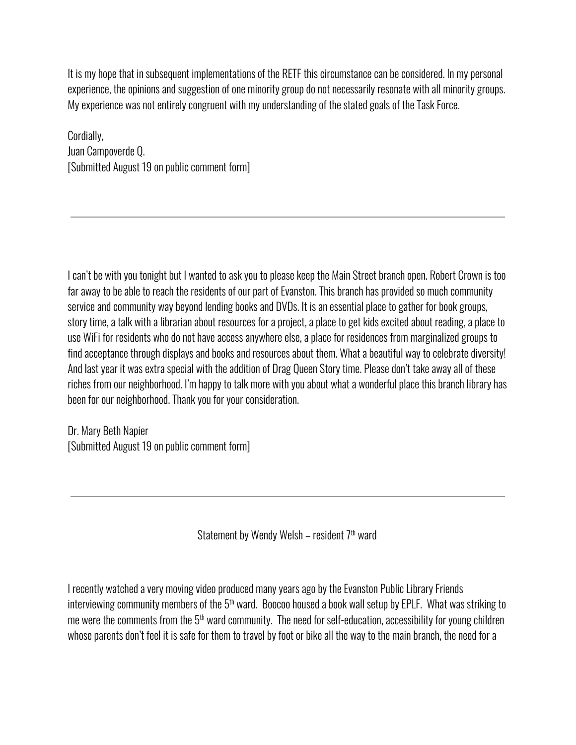It is my hope that in subsequent implementations of the RETF this circumstance can be considered. In my personal experience, the opinions and suggestion of one minority group do not necessarily resonate with all minority groups. My experience was not entirely congruent with my understanding of the stated goals of the Task Force.

Cordially, Juan Campoverde Q. [Submitted August 19 on public comment form]

I can't be with you tonight but I wanted to ask you to please keep the Main Street branch open. Robert Crown is too far away to be able to reach the residents of our part of Evanston. This branch has provided so much community service and community way beyond lending books and DVDs. It is an essential place to gather for book groups, story time, a talk with a librarian about resources for a project, a place to get kids excited about reading, a place to use WiFi for residents who do not have access anywhere else, a place for residences from marginalized groups to find acceptance through displays and books and resources about them. What a beautiful way to celebrate diversity! And last year it was extra special with the addition of Drag Queen Story time. Please don't take away all of these riches from our neighborhood. I'm happy to talk more with you about what a wonderful place this branch library has been for our neighborhood. Thank you for your consideration.

Dr. Mary Beth Napier [Submitted August 19 on public comment form]

Statement by Wendy Welsh – resident 7th ward

I recently watched a very moving video produced many years ago by the Evanston Public Library Friends interviewing community members of the 5<sup>th</sup> ward. Boocoo housed a book wall setup by EPLF. What was striking to me were the comments from the 5<sup>th</sup> ward community. The need for self-education, accessibility for young children whose parents don't feel it is safe for them to travel by foot or bike all the way to the main branch, the need for a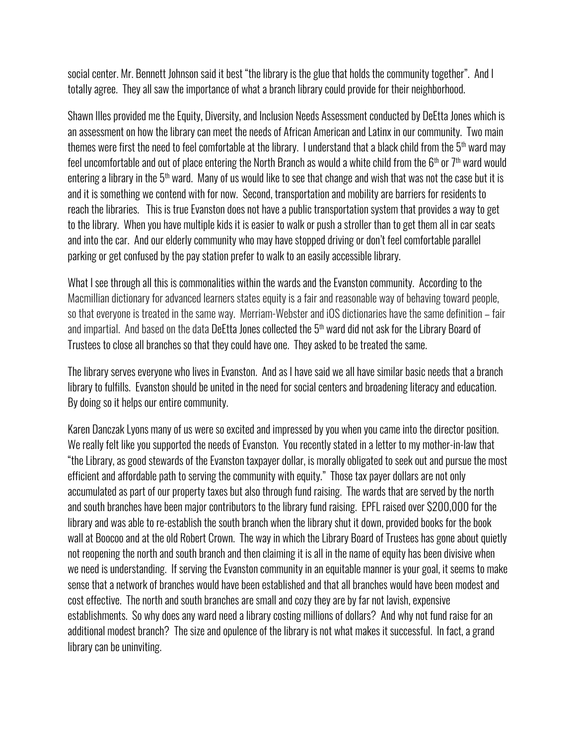social center. Mr. Bennett Johnson said it best "the library is the glue that holds the community together". And I totally agree. They all saw the importance of what a branch library could provide for their neighborhood.

Shawn Illes provided me the Equity, Diversity, and Inclusion Needs Assessment conducted by DeEtta Jones which is an assessment on how the library can meet the needs of African American and Latinx in our community. Two main themes were first the need to feel comfortable at the library. I understand that a black child from the 5<sup>th</sup> ward may feel uncomfortable and out of place entering the North Branch as would a white child from the 6th or 7th ward would entering a library in the 5<sup>th</sup> ward. Many of us would like to see that change and wish that was not the case but it is and it is something we contend with for now. Second, transportation and mobility are barriers for residents to reach the libraries. This is true Evanston does not have a public transportation system that provides a way to get to the library. When you have multiple kids it is easier to walk or push a stroller than to get them all in car seats and into the car. And our elderly community who may have stopped driving or don't feel comfortable parallel parking or get confused by the pay station prefer to walk to an easily accessible library.

What I see through all this is commonalities within the wards and the Evanston community. According to the Macmillian dictionary for advanced learners states equity is a [fair](https://www.macmillandictionary.com/us/dictionary/american/fair_1) and [reasonable](https://www.macmillandictionary.com/us/dictionary/american/reasonable) way of [behaving](https://www.macmillandictionary.com/us/dictionary/american/behave) toward [people,](https://www.macmillandictionary.com/us/dictionary/american/people_1) so that everyone is [treated](https://www.macmillandictionary.com/us/dictionary/american/treat_1) in the same way. Merriam-Webster and iOS dictionaries have the same definition – fair and impartial. And based on the data DeEtta Jones collected the 5<sup>th</sup> ward did not ask for the Library Board of Trustees to close all branches so that they could have one. They asked to be treated the same.

The library serves everyone who lives in Evanston. And as I have said we all have similar basic needs that a branch library to fulfills. Evanston should be united in the need for social centers and broadening literacy and education. By doing so it helps our entire community.

Karen Danczak Lyons many of us were so excited and impressed by you when you came into the director position. We really felt like you supported the needs of Evanston. You recently stated in a letter to my mother-in-law that "the Library, as good stewards of the Evanston taxpayer dollar, is morally obligated to seek out and pursue the most efficient and affordable path to serving the community with equity." Those tax payer dollars are not only accumulated as part of our property taxes but also through fund raising. The wards that are served by the north and south branches have been major contributors to the library fund raising. EPFL raised over \$200,000 for the library and was able to re-establish the south branch when the library shut it down, provided books for the book wall at Boocoo and at the old Robert Crown. The way in which the Library Board of Trustees has gone about quietly not reopening the north and south branch and then claiming it is all in the name of equity has been divisive when we need is understanding. If serving the Evanston community in an equitable manner is your goal, it seems to make sense that a network of branches would have been established and that all branches would have been modest and cost effective. The north and south branches are small and cozy they are by far not lavish, expensive establishments. So why does any ward need a library costing millions of dollars? And why not fund raise for an additional modest branch? The size and opulence of the library is not what makes it successful. In fact, a grand library can be uninviting.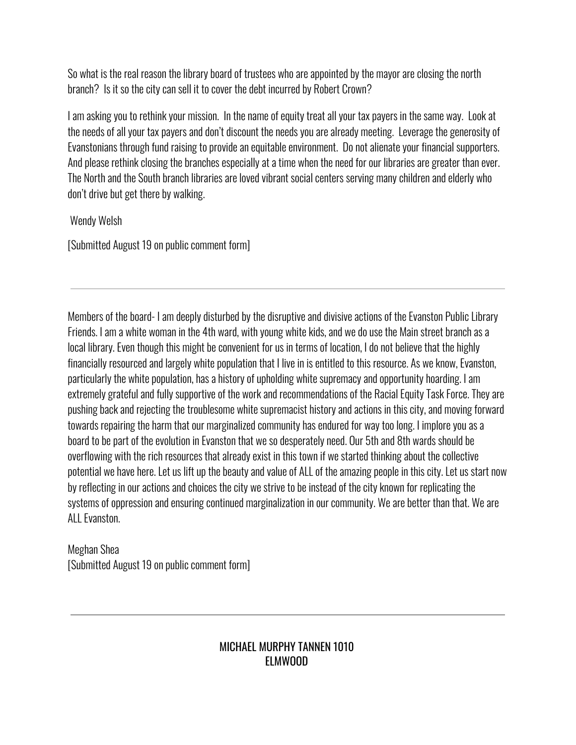So what is the real reason the library board of trustees who are appointed by the mayor are closing the north branch? Is it so the city can sell it to cover the debt incurred by Robert Crown?

I am asking you to rethink your mission. In the name of equity treat all your tax payers in the same way. Look at the needs of all your tax payers and don't discount the needs you are already meeting. Leverage the generosity of Evanstonians through fund raising to provide an equitable environment. Do not alienate your financial supporters. And please rethink closing the branches especially at a time when the need for our libraries are greater than ever. The North and the South branch libraries are loved vibrant social centers serving many children and elderly who don't drive but get there by walking.

Wendy Welsh

[Submitted August 19 on public comment form]

Members of the board- I am deeply disturbed by the disruptive and divisive actions of the Evanston Public Library Friends. I am a white woman in the 4th ward, with young white kids, and we do use the Main street branch as a local library. Even though this might be convenient for us in terms of location, I do not believe that the highly financially resourced and largely white population that I live in is entitled to this resource. As we know, Evanston, particularly the white population, has a history of upholding white supremacy and opportunity hoarding. I am extremely grateful and fully supportive of the work and recommendations of the Racial Equity Task Force. They are pushing back and rejecting the troublesome white supremacist history and actions in this city, and moving forward towards repairing the harm that our marginalized community has endured for way too long. I implore you as a board to be part of the evolution in Evanston that we so desperately need. Our 5th and 8th wards should be overflowing with the rich resources that already exist in this town if we started thinking about the collective potential we have here. Let us lift up the beauty and value of ALL of the amazing people in this city. Let us start now by reflecting in our actions and choices the city we strive to be instead of the city known for replicating the systems of oppression and ensuring continued marginalization in our community. We are better than that. We are ALL Evanston.

Meghan Shea [Submitted August 19 on public comment form]

# MICHAEL MURPHY TANNEN 1010 ELMWOOD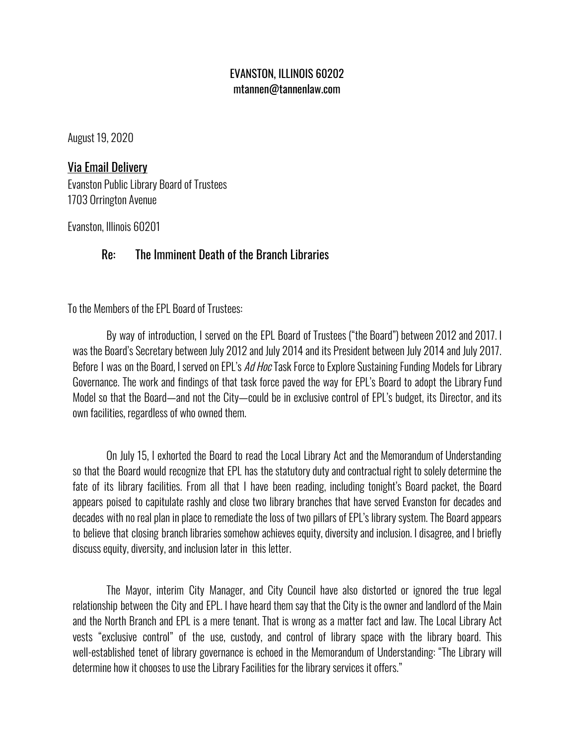# EVANSTON, ILLINOIS 60202 mtannen@tannenlaw.com

August 19, 2020

# Via Email Delivery

Evanston Public Library Board of Trustees 1703 Orrington Avenue

Evanston, Illinois 60201

# Re: The Imminent Death of the Branch Libraries

To the Members of the EPL Board of Trustees:

By way of introduction, I served on the EPL Board of Trustees ("the Board") between 2012 and 2017. I was the Board's Secretary between July 2012 and July 2014 and its President between July 2014 and July 2017. Before I was on the Board, I served on EPL's *Ad Hoc* Task Force to Explore Sustaining Funding Models for Library Governance. The work and findings of that task force paved the way for EPL's Board to adopt the Library Fund Model so that the Board—and not the City—could be in exclusive control of EPL's budget, its Director, and its own facilities, regardless of who owned them.

On July 15, I exhorted the Board to read the Local Library Act and the Memorandum of Understanding so that the Board would recognize that EPL has the statutory duty and contractual right to solely determine the fate of its library facilities. From all that I have been reading, including tonight's Board packet, the Board appears poised to capitulate rashly and close two library branches that have served Evanston for decades and decades with no real plan in place to remediate the loss of two pillars of EPL's library system. The Board appears to believe that closing branch libraries somehow achieves equity, diversity and inclusion. I disagree, and I briefly discuss equity, diversity, and inclusion later in this letter.

The Mayor, interim City Manager, and City Council have also distorted or ignored the true legal relationship between the City and EPL. I have heard them say that the City is the owner and landlord of the Main and the North Branch and EPL is a mere tenant. That is wrong as a matter fact and law. The Local Library Act vests "exclusive control" of the use, custody, and control of library space with the library board. This well-established tenet of library governance is echoed in the Memorandum of Understanding: "The Library will determine how it chooses to use the Library Facilities for the library services it offers."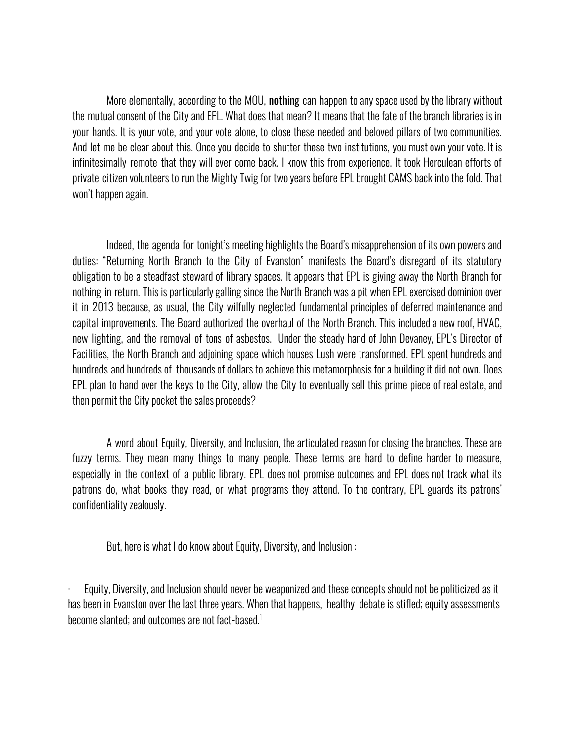More elementally, according to the MOU, nothing can happen to any space used by the library without the mutual consent of the City and EPL. What does that mean? It means that the fate of the branch libraries is in your hands. It is your vote, and your vote alone, to close these needed and beloved pillars of two communities. And let me be clear about this. Once you decide to shutter these two institutions, you must own your vote. It is infinitesimally remote that they will ever come back. I know this from experience. It took Herculean efforts of private citizen volunteers to run the Mighty Twig for two years before EPL brought CAMS back into the fold. That won't happen again.

Indeed, the agenda for tonight's meeting highlights the Board's misapprehension of its own powers and duties: "Returning North Branch to the City of Evanston" manifests the Board's disregard of its statutory obligation to be a steadfast steward of library spaces. It appears that EPL is giving away the North Branch for nothing in return. This is particularly galling since the North Branch was a pit when EPL exercised dominion over it in 2013 because, as usual, the City wilfully neglected fundamental principles of deferred maintenance and capital improvements. The Board authorized the overhaul of the North Branch. This included a new roof, HVAC, new lighting, and the removal of tons of asbestos. Under the steady hand of John Devaney, EPL's Director of Facilities, the North Branch and adjoining space which houses Lush were transformed. EPL spent hundreds and hundreds and hundreds of thousands of dollars to achieve this metamorphosis for a building it did not own. Does EPL plan to hand over the keys to the City, allow the City to eventually sell this prime piece of real estate, and then permit the City pocket the sales proceeds?

A word about Equity, Diversity, and Inclusion, the articulated reason for closing the branches. These are fuzzy terms. They mean many things to many people. These terms are hard to define harder to measure, especially in the context of a public library. EPL does not promise outcomes and EPL does not track what its patrons do, what books they read, or what programs they attend. To the contrary, EPL guards its patrons' confidentiality zealously.

But, here is what I do know about Equity, Diversity, and Inclusion :

· Equity, Diversity, and Inclusion should never be weaponized and these concepts should not be politicized as it has been in Evanston over the last three years. When that happens, healthy debate is stifled; equity assessments become slanted; and outcomes are not fact-based. 1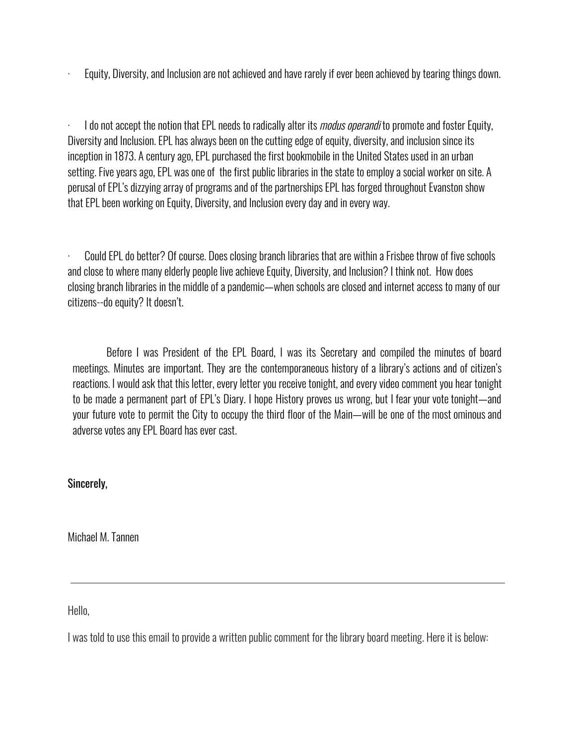Equity, Diversity, and Inclusion are not achieved and have rarely if ever been achieved by tearing things down.

I do not accept the notion that EPL needs to radically alter its *modus operandi* to promote and foster Equity, Diversity and Inclusion. EPL has always been on the cutting edge of equity, diversity, and inclusion since its inception in 1873. A century ago, EPL purchased the first bookmobile in the United States used in an urban setting. Five years ago, EPL was one of the first public libraries in the state to employ a social worker on site. A perusal of EPL's dizzying array of programs and of the partnerships EPL has forged throughout Evanston show that EPL been working on Equity, Diversity, and Inclusion every day and in every way.

· Could EPL do better? Of course. Does closing branch libraries that are within a Frisbee throw of five schools and close to where many elderly people live achieve Equity, Diversity, and Inclusion? I think not. How does closing branch libraries in the middle of a pandemic—when schools are closed and internet access to many of our citizens--do equity? It doesn't.

Before I was President of the EPL Board, I was its Secretary and compiled the minutes of board meetings. Minutes are important. They are the contemporaneous history of a library's actions and of citizen's reactions. I would ask that this letter, every letter you receive tonight, and every video comment you hear tonight to be made a permanent part of EPL's Diary. I hope History proves us wrong, but I fear your vote tonight—and your future vote to permit the City to occupy the third floor of the Main—will be one of the most ominous and adverse votes any EPL Board has ever cast.

Sincerely,

Michael M. Tannen

Hello,

I was told to use this email to provide a written public comment for the library board meeting. Here it is below: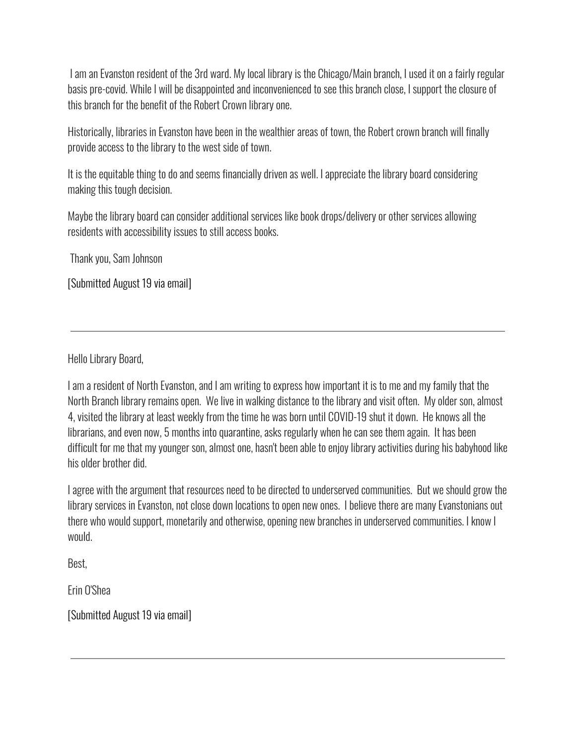I am an Evanston resident of the 3rd ward. My local library is the Chicago/Main branch, I used it on a fairly regular basis pre-covid. While I will be disappointed and inconvenienced to see this branch close, I support the closure of this branch for the benefit of the Robert Crown library one.

Historically, libraries in Evanston have been in the wealthier areas of town, the Robert crown branch will finally provide access to the library to the west side of town.

It is the equitable thing to do and seems financially driven as well. I appreciate the library board considering making this tough decision.

Maybe the library board can consider additional services like book drops/delivery or other services allowing residents with accessibility issues to still access books.

Thank you, Sam Johnson

[Submitted August 19 via email]

Hello Library Board,

I am a resident of North Evanston, and I am writing to express how important it is to me and my family that the North Branch library remains open. We live in walking distance to the library and visit often. My older son, almost 4, visited the library at least weekly from the time he was born until COVID-19 shut it down. He knows all the librarians, and even now, 5 months into quarantine, asks regularly when he can see them again. It has been difficult for me that my younger son, almost one, hasn't been able to enjoy library activities during his babyhood like his older brother did.

I agree with the argument that resources need to be directed to underserved communities. But we should grow the library services in Evanston, not close down locations to open new ones. I believe there are many Evanstonians out there who would support, monetarily and otherwise, opening new branches in underserved communities. I know I would.

Best,

Erin O'Shea

[Submitted August 19 via email]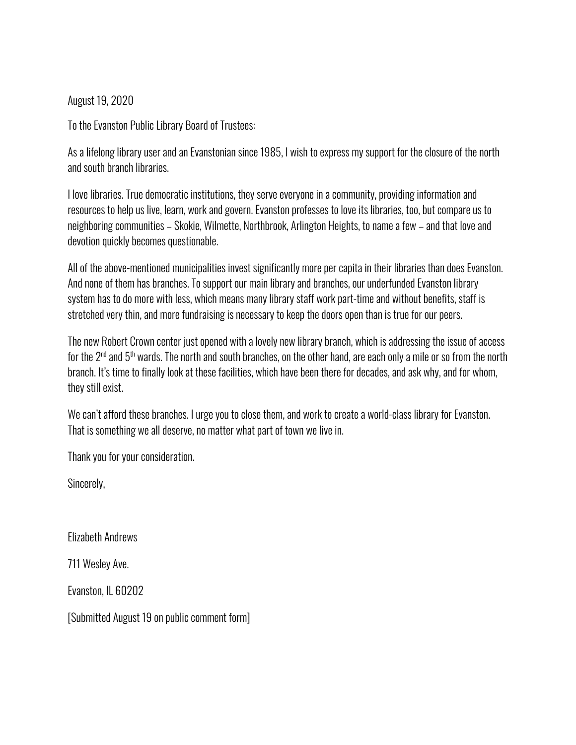# August 19, 2020

To the Evanston Public Library Board of Trustees:

As a lifelong library user and an Evanstonian since 1985, I wish to express my support for the closure of the north and south branch libraries.

I love libraries. True democratic institutions, they serve everyone in a community, providing information and resources to help us live, learn, work and govern. Evanston professes to love its libraries, too, but compare us to neighboring communities – Skokie, Wilmette, Northbrook, Arlington Heights, to name a few – and that love and devotion quickly becomes questionable.

All of the above-mentioned municipalities invest significantly more per capita in their libraries than does Evanston. And none of them has branches. To support our main library and branches, our underfunded Evanston library system has to do more with less, which means many library staff work part-time and without benefits, staff is stretched very thin, and more fundraising is necessary to keep the doors open than is true for our peers.

The new Robert Crown center just opened with a lovely new library branch, which is addressing the issue of access for the 2<sup>nd</sup> and 5<sup>th</sup> wards. The north and south branches, on the other hand, are each only a mile or so from the north branch. It's time to finally look at these facilities, which have been there for decades, and ask why, and for whom, they still exist.

We can't afford these branches. I urge you to close them, and work to create a world-class library for Evanston. That is something we all deserve, no matter what part of town we live in.

Thank you for your consideration.

Sincerely,

Elizabeth Andrews

711 Wesley Ave.

Evanston, IL 60202

[Submitted August 19 on public comment form]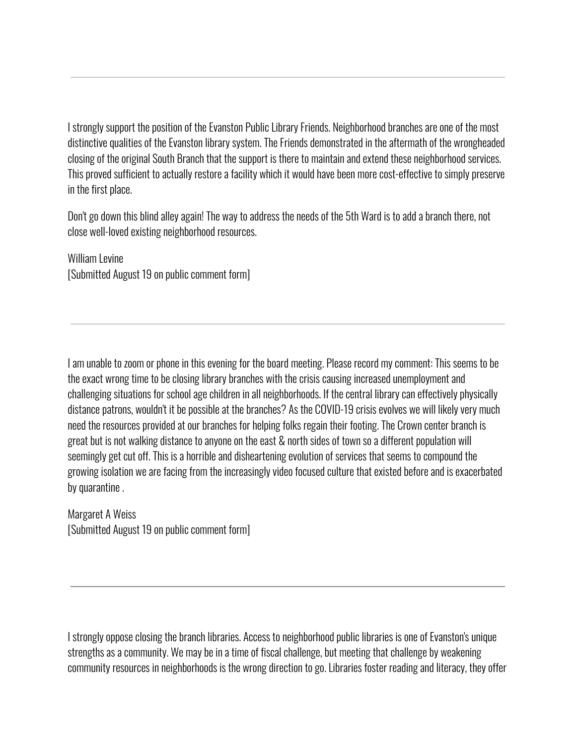I strongly support the position of the Evanston Public Library Friends. Neighborhood branches are one of the most distinctive qualities of the Evanston library system. The Friends demonstrated in the aftermath of the wrongheaded closing of the original South Branch that the support is there to maintain and extend these neighborhood services. This proved sufficient to actually restore a facility which it would have been more cost-effective to simply preserve in the first place.

Don't go down this blind alley again! The way to address the needs of the 5th Ward is to add a branch there, not close well-loved existing neighborhood resources.

William Levine [Submitted August 19 on public comment form]

I am unable to zoom or phone in this evening for the board meeting. Please record my comment: This seems to be the exact wrong time to be closing library branches with the crisis causing increased unemployment and challenging situations for school age children in all neighborhoods. If the central library can effectively physically distance patrons, wouldn't it be possible at the branches? As the COVID-19 crisis evolves we will likely very much need the resources provided at our branches for helping folks regain their footing. The Crown center branch is great but is not walking distance to anyone on the east & north sides of town so a different population will seemingly get cut off. This is a horrible and disheartening evolution of services that seems to compound the growing isolation we are facing from the increasingly video focused culture that existed before and is exacerbated by quarantine .

Margaret A Weiss [Submitted August 19 on public comment form]

I strongly oppose closing the branch libraries. Access to neighborhood public libraries is one of Evanston's unique strengths as a community. We may be in a time of fiscal challenge, but meeting that challenge by weakening community resources in neighborhoods is the wrong direction to go. Libraries foster reading and literacy, they offer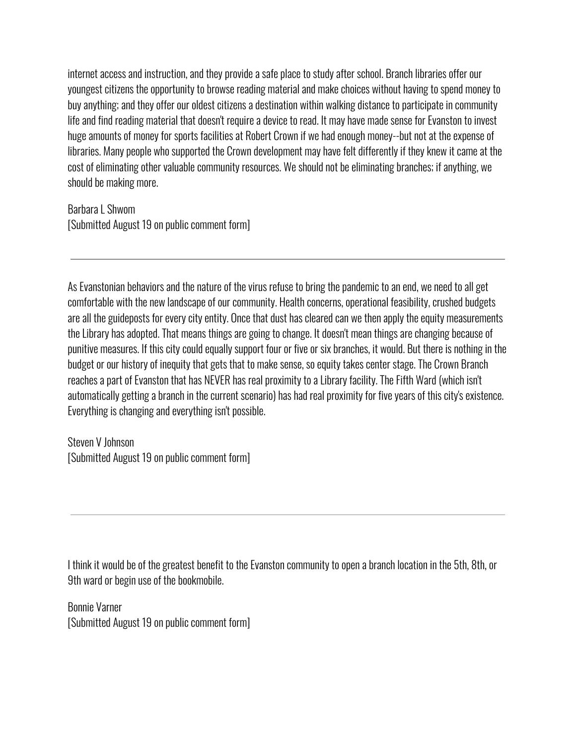internet access and instruction, and they provide a safe place to study after school. Branch libraries offer our youngest citizens the opportunity to browse reading material and make choices without having to spend money to buy anything; and they offer our oldest citizens a destination within walking distance to participate in community life and find reading material that doesn't require a device to read. It may have made sense for Evanston to invest huge amounts of money for sports facilities at Robert Crown if we had enough money--but not at the expense of libraries. Many people who supported the Crown development may have felt differently if they knew it came at the cost of eliminating other valuable community resources. We should not be eliminating branches; if anything, we should be making more.

Barbara L Shwom [Submitted August 19 on public comment form]

As Evanstonian behaviors and the nature of the virus refuse to bring the pandemic to an end, we need to all get comfortable with the new landscape of our community. Health concerns, operational feasibility, crushed budgets are all the guideposts for every city entity. Once that dust has cleared can we then apply the equity measurements the Library has adopted. That means things are going to change. It doesn't mean things are changing because of punitive measures. If this city could equally support four or five or six branches, it would. But there is nothing in the budget or our history of inequity that gets that to make sense, so equity takes center stage. The Crown Branch reaches a part of Evanston that has NEVER has real proximity to a Library facility. The Fifth Ward (which isn't automatically getting a branch in the current scenario) has had real proximity for five years of this city's existence. Everything is changing and everything isn't possible.

Steven V Johnson [Submitted August 19 on public comment form]

I think it would be of the greatest benefit to the Evanston community to open a branch location in the 5th, 8th, or 9th ward or begin use of the bookmobile.

Bonnie Varner [Submitted August 19 on public comment form]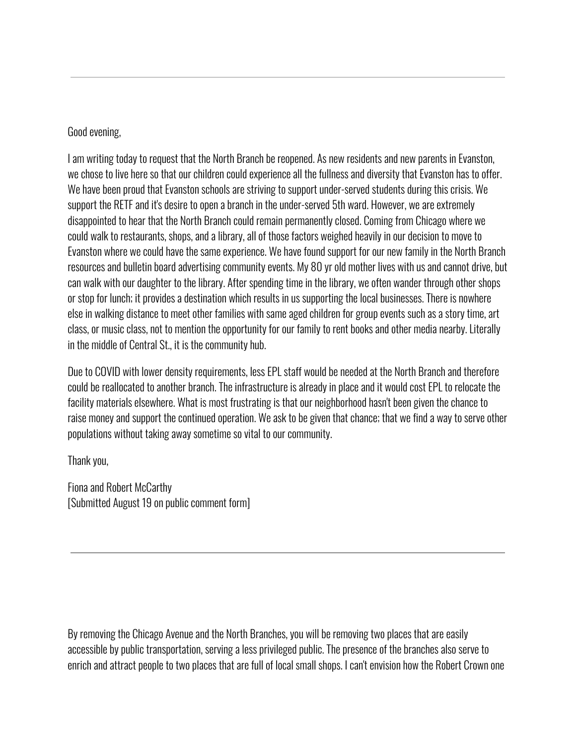# Good evening,

I am writing today to request that the North Branch be reopened. As new residents and new parents in Evanston, we chose to live here so that our children could experience all the fullness and diversity that Evanston has to offer. We have been proud that Evanston schools are striving to support under-served students during this crisis. We support the RETF and it's desire to open a branch in the under-served 5th ward. However, we are extremely disappointed to hear that the North Branch could remain permanently closed. Coming from Chicago where we could walk to restaurants, shops, and a library, all of those factors weighed heavily in our decision to move to Evanston where we could have the same experience. We have found support for our new family in the North Branch resources and bulletin board advertising community events. My 80 yr old mother lives with us and cannot drive, but can walk with our daughter to the library. After spending time in the library, we often wander through other shops or stop for lunch; it provides a destination which results in us supporting the local businesses. There is nowhere else in walking distance to meet other families with same aged children for group events such as a story time, art class, or music class, not to mention the opportunity for our family to rent books and other media nearby. Literally in the middle of Central St., it is the community hub.

Due to COVID with lower density requirements, less EPL staff would be needed at the North Branch and therefore could be reallocated to another branch. The infrastructure is already in place and it would cost EPL to relocate the facility materials elsewhere. What is most frustrating is that our neighborhood hasn't been given the chance to raise money and support the continued operation. We ask to be given that chance; that we find a way to serve other populations without taking away sometime so vital to our community.

Thank you,

Fiona and Robert McCarthy [Submitted August 19 on public comment form]

By removing the Chicago Avenue and the North Branches, you will be removing two places that are easily accessible by public transportation, serving a less privileged public. The presence of the branches also serve to enrich and attract people to two places that are full of local small shops. I can't envision how the Robert Crown one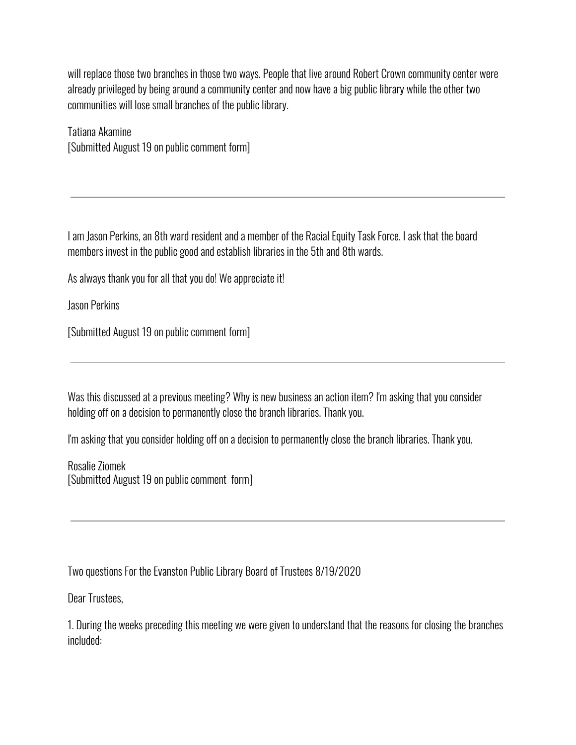will replace those two branches in those two ways. People that live around Robert Crown community center were already privileged by being around a community center and now have a big public library while the other two communities will lose small branches of the public library.

Tatiana Akamine [Submitted August 19 on public comment form]

I am Jason Perkins, an 8th ward resident and a member of the Racial Equity Task Force. I ask that the board members invest in the public good and establish libraries in the 5th and 8th wards.

As always thank you for all that you do! We appreciate it!

Jason Perkins

[Submitted August 19 on public comment form]

Was this discussed at a previous meeting? Why is new business an action item? I'm asking that you consider holding off on a decision to permanently close the branch libraries. Thank you.

I'm asking that you consider holding off on a decision to permanently close the branch libraries. Thank you.

Rosalie Ziomek [Submitted August 19 on public comment form]

Two questions For the Evanston Public Library Board of Trustees 8/19/2020

Dear Trustees,

1. During the weeks preceding this meeting we were given to understand that the reasons for closing the branches included: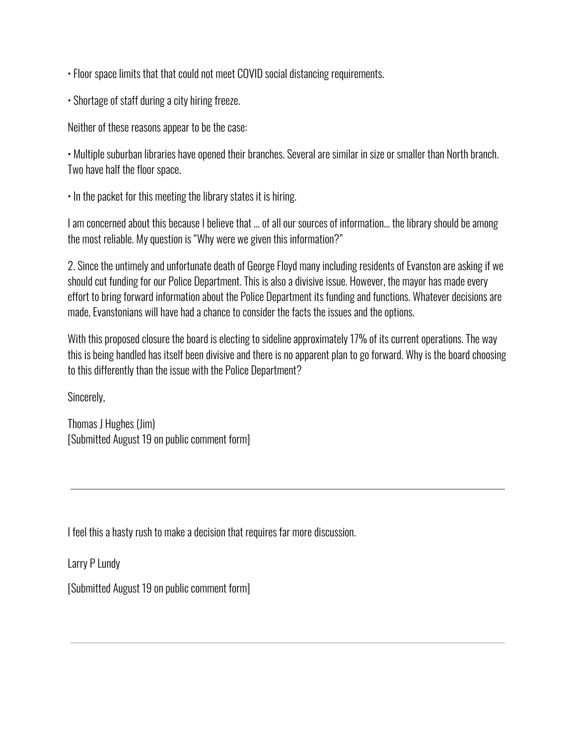• Floor space limits that that could not meet COVID social distancing requirements.

• Shortage of staff during a city hiring freeze.

Neither of these reasons appear to be the case:

• Multiple suburban libraries have opened their branches. Several are similar in size or smaller than North branch. Two have half the floor space.

• In the packet for this meeting the library states it is hiring.

I am concerned about this because I believe that … of all our sources of information… the library should be among the most reliable. My question is "Why were we given this information?"

2. Since the untimely and unfortunate death of George Floyd many including residents of Evanston are asking if we should cut funding for our Police Department. This is also a divisive issue. However, the mayor has made every effort to bring forward information about the Police Department its funding and functions. Whatever decisions are made, Evanstonians will have had a chance to consider the facts the issues and the options.

With this proposed closure the board is electing to sideline approximately 17% of its current operations. The way this is being handled has itself been divisive and there is no apparent plan to go forward. Why is the board choosing to this differently than the issue with the Police Department?

Sincerely,

Thomas J Hughes (Jim) [Submitted August 19 on public comment form]

I feel this a hasty rush to make a decision that requires far more discussion.

Larry P Lundy

[Submitted August 19 on public comment form]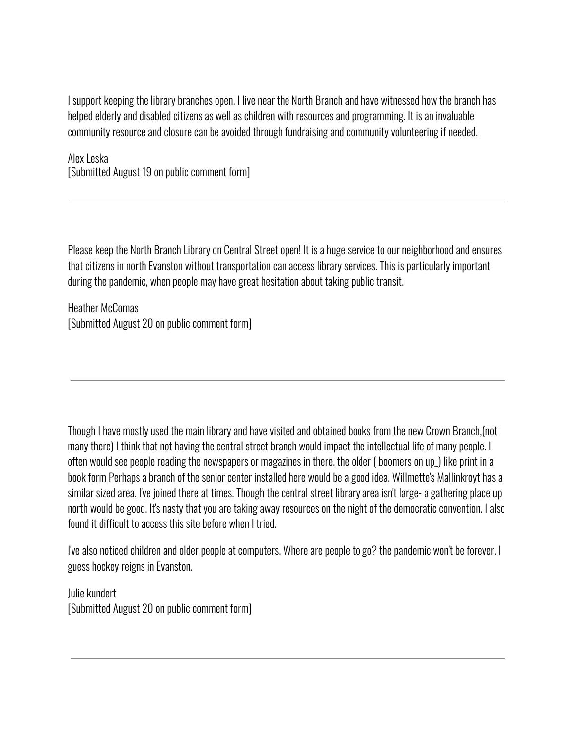I support keeping the library branches open. I live near the North Branch and have witnessed how the branch has helped elderly and disabled citizens as well as children with resources and programming. It is an invaluable community resource and closure can be avoided through fundraising and community volunteering if needed.

Alex Leska [Submitted August 19 on public comment form]

Please keep the North Branch Library on Central Street open! It is a huge service to our neighborhood and ensures that citizens in north Evanston without transportation can access library services. This is particularly important during the pandemic, when people may have great hesitation about taking public transit.

Heather McComas [Submitted August 20 on public comment form]

Though I have mostly used the main library and have visited and obtained books from the new Crown Branch,(not many there) I think that not having the central street branch would impact the intellectual life of many people. I often would see people reading the newspapers or magazines in there. the older ( boomers on up\_) like print in a book form Perhaps a branch of the senior center installed here would be a good idea. Willmette's Mallinkroyt has a similar sized area. I've joined there at times. Though the central street library area isn't large- a gathering place up north would be good. It's nasty that you are taking away resources on the night of the democratic convention. I also found it difficult to access this site before when I tried.

I've also noticed children and older people at computers. Where are people to go? the pandemic won't be forever. I guess hockey reigns in Evanston.

Julie kundert [Submitted August 20 on public comment form]